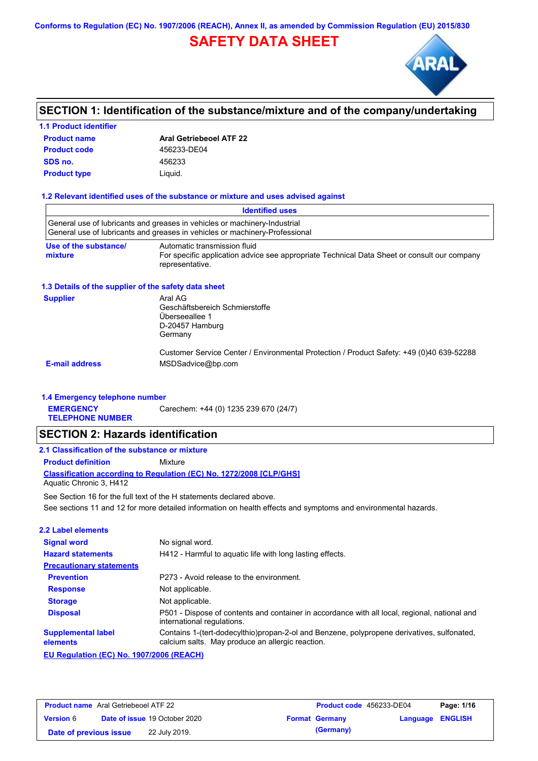# **SAFETY DATA SHEET**



# **SECTION 1: Identification of the substance/mixture and of the company/undertaking**

#### **1.1 Product identifier**

| <b>Product name</b> | <b>Aral Getriebeoel ATF 22</b> |
|---------------------|--------------------------------|
| <b>Product code</b> | 456233-DE04                    |
| SDS no.             | 456233                         |
| <b>Product type</b> | Liguid.                        |

#### **1.2 Relevant identified uses of the substance or mixture and uses advised against**

|                                                      | <b>Identified uses</b>                                                                                                                                   |
|------------------------------------------------------|----------------------------------------------------------------------------------------------------------------------------------------------------------|
|                                                      | General use of lubricants and greases in vehicles or machinery-Industrial<br>General use of lubricants and greases in vehicles or machinery-Professional |
| Use of the substance/<br>mixture                     | Automatic transmission fluid<br>For specific application advice see appropriate Technical Data Sheet or consult our company<br>representative.           |
| 1.3 Details of the supplier of the safety data sheet |                                                                                                                                                          |
| <b>Supplier</b>                                      | Aral AG<br>Geschäftsbereich Schmierstoffe<br>Überseeallee 1<br>D-20457 Hamburg<br>Germany                                                                |
| <b>E-mail address</b>                                | Customer Service Center / Environmental Protection / Product Safety: +49 (0)40 639-52288<br>MSDSadvice@bp.com                                            |

#### **1.4 Emergency telephone number**

**EMERGENCY**  Carechem: +44 (0) 1235 239 670 (24/7)

**TELEPHONE NUMBER**

### **SECTION 2: Hazards identification**

### **2.1 Classification of the substance or mixture**

**Product definition** Mixture

**Classification according to Regulation (EC) No. 1272/2008 [CLP/GHS]** Aquatic Chronic 3, H412

See sections 11 and 12 for more detailed information on health effects and symptoms and environmental hazards. See Section 16 for the full text of the H statements declared above.

| 2.2 Label elements                       |                                                                                                                                                |
|------------------------------------------|------------------------------------------------------------------------------------------------------------------------------------------------|
| <b>Signal word</b>                       | No signal word.                                                                                                                                |
| <b>Hazard statements</b>                 | H412 - Harmful to aquatic life with long lasting effects.                                                                                      |
| <b>Precautionary statements</b>          |                                                                                                                                                |
| <b>Prevention</b>                        | P273 - Avoid release to the environment.                                                                                                       |
| <b>Response</b>                          | Not applicable.                                                                                                                                |
| <b>Storage</b>                           | Not applicable.                                                                                                                                |
| <b>Disposal</b>                          | P501 - Dispose of contents and container in accordance with all local, regional, national and<br>international regulations.                    |
| <b>Supplemental label</b><br>elements    | Contains 1-(tert-dodecylthio)propan-2-ol and Benzene, polypropene derivatives, sulfonated,<br>calcium salts. May produce an allergic reaction. |
| EU Regulation (EC) No. 1907/2006 (REACH) |                                                                                                                                                |

| <b>Product name</b> Aral Getriebeoel ATF 22 |                                      | <b>Product code</b> 456233-DE04 |                  | Page: 1/16 |
|---------------------------------------------|--------------------------------------|---------------------------------|------------------|------------|
| <b>Version</b> 6                            | <b>Date of issue 19 October 2020</b> | <b>Format Germany</b>           | Language ENGLISH |            |
| Date of previous issue                      | 22 July 2019.                        | (Germany)                       |                  |            |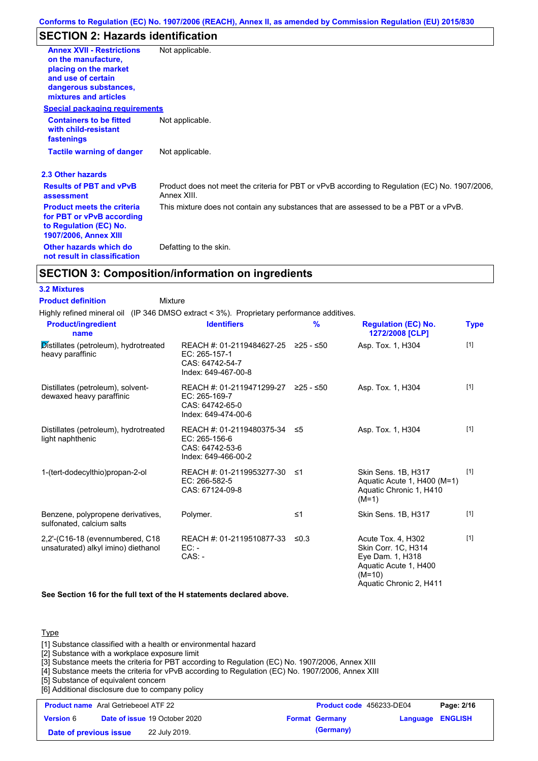# **SECTION 2: Hazards identification**

| <b>Annex XVII - Restrictions</b><br>on the manufacture.<br>placing on the market<br>and use of certain<br>dangerous substances,<br>mixtures and articles | Not applicable.                                                                                               |
|----------------------------------------------------------------------------------------------------------------------------------------------------------|---------------------------------------------------------------------------------------------------------------|
| <b>Special packaging requirements</b>                                                                                                                    |                                                                                                               |
| <b>Containers to be fitted</b><br>with child-resistant<br>fastenings                                                                                     | Not applicable.                                                                                               |
| <b>Tactile warning of danger</b>                                                                                                                         | Not applicable.                                                                                               |
| 2.3 Other hazards                                                                                                                                        |                                                                                                               |
| <b>Results of PBT and vPvB</b><br>assessment                                                                                                             | Product does not meet the criteria for PBT or vPvB according to Regulation (EC) No. 1907/2006,<br>Annex XIII. |
| <b>Product meets the criteria</b><br>for PBT or vPvB according<br>to Regulation (EC) No.<br><b>1907/2006, Annex XIII</b>                                 | This mixture does not contain any substances that are assessed to be a PBT or a vPvB.                         |
| Other hazards which do<br>not result in classification                                                                                                   | Defatting to the skin.                                                                                        |

# **SECTION 3: Composition/information on ingredients**

#### **3.2 Mixtures**

**Product definition**

Mixture

Highly refined mineral oil (IP 346 DMSO extract < 3%). Proprietary performance additives. **Product/ingredient** 

| <b>Product/ingredient</b><br>name                                          | <b>Identifiers</b>                                                                      | $\frac{9}{6}$ | <b>Regulation (EC) No.</b><br>1272/2008 [CLP]                                                    | Type  |
|----------------------------------------------------------------------------|-----------------------------------------------------------------------------------------|---------------|--------------------------------------------------------------------------------------------------|-------|
| Distillates (petroleum), hydrotreated<br>heavy paraffinic                  | REACH #: 01-2119484627-25<br>EC: 265-157-1<br>CAS: 64742-54-7<br>Index: 649-467-00-8    | $≥25 - ≤50$   | Asp. Tox. 1, H304                                                                                | $[1]$ |
| Distillates (petroleum), solvent-<br>dewaxed heavy paraffinic              | REACH #: 01-2119471299-27<br>EC: 265-169-7<br>CAS: 64742-65-0<br>Index: 649-474-00-6    | ≥25 - ≤50     | Asp. Tox. 1, H304                                                                                | $[1]$ |
| Distillates (petroleum), hydrotreated<br>light naphthenic                  | REACH #: 01-2119480375-34 ≤5<br>EC: 265-156-6<br>CAS: 64742-53-6<br>Index: 649-466-00-2 |               | Asp. Tox. 1, H304                                                                                | $[1]$ |
| 1-(tert-dodecylthio)propan-2-ol                                            | REACH #: 01-2119953277-30 ≤1<br>EC: 266-582-5<br>CAS: 67124-09-8                        |               | Skin Sens. 1B, H317<br>Aquatic Acute 1, H400 (M=1)<br>Aquatic Chronic 1, H410<br>$(M=1)$         | $[1]$ |
| Benzene, polypropene derivatives,<br>sulfonated, calcium salts             | Polymer.                                                                                | $\leq 1$      | Skin Sens. 1B, H317                                                                              | $[1]$ |
| $2,2'$ -(C16-18 (evennumbered, C18)<br>unsaturated) alkyl imino) diethanol | REACH #: 01-2119510877-33<br>$EC:$ -<br>$CAS: -$                                        | $\leq 0.3$    | Acute Tox. 4, H302<br>Skin Corr. 1C, H314<br>Eye Dam. 1, H318<br>Aquatic Acute 1, H400<br>(M=10) | $[1]$ |

**See Section 16 for the full text of the H statements declared above.**

#### **Type**

[1] Substance classified with a health or environmental hazard

[2] Substance with a workplace exposure limit

[3] Substance meets the criteria for PBT according to Regulation (EC) No. 1907/2006, Annex XIII

[4] Substance meets the criteria for vPvB according to Regulation (EC) No. 1907/2006, Annex XIII

[5] Substance of equivalent concern

[6] Additional disclosure due to company policy

| <b>Product name</b> Aral Getriebeoel ATF 22 |                                      | <b>Product code</b> 456233-DE04 |                         | Page: 2/16 |
|---------------------------------------------|--------------------------------------|---------------------------------|-------------------------|------------|
| <b>Version</b> 6                            | <b>Date of issue 19 October 2020</b> | <b>Format Germany</b>           | <b>Language ENGLISH</b> |            |
| Date of previous issue                      | 22 July 2019.                        | (Germany)                       |                         |            |

Aquatic Chronic 2, H411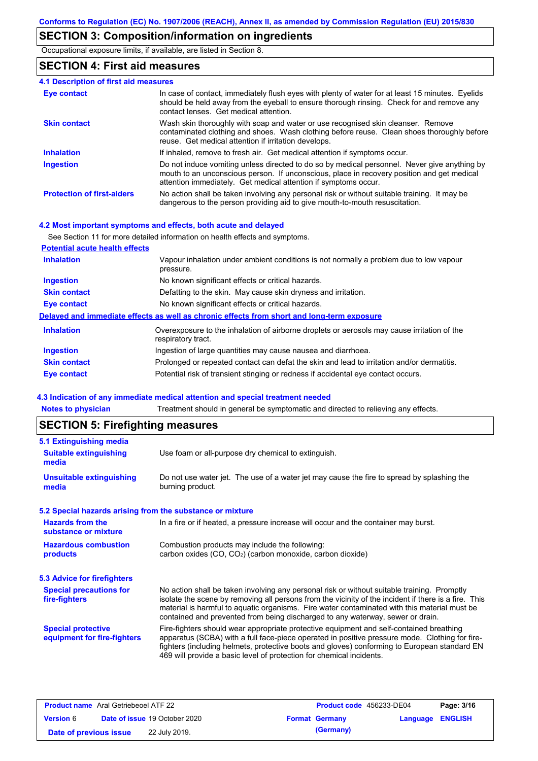# **SECTION 3: Composition/information on ingredients**

Occupational exposure limits, if available, are listed in Section 8.

### **SECTION 4: First aid measures**

| 4.1 Description of first aid measures |                                                                                                                                                                                                                                                               |
|---------------------------------------|---------------------------------------------------------------------------------------------------------------------------------------------------------------------------------------------------------------------------------------------------------------|
| <b>Eye contact</b>                    | In case of contact, immediately flush eyes with plenty of water for at least 15 minutes. Eyelids<br>should be held away from the eyeball to ensure thorough rinsing. Check for and remove any<br>contact lenses. Get medical attention.                       |
| <b>Skin contact</b>                   | Wash skin thoroughly with soap and water or use recognised skin cleanser. Remove<br>contaminated clothing and shoes. Wash clothing before reuse. Clean shoes thoroughly before<br>reuse. Get medical attention if irritation develops.                        |
| <b>Inhalation</b>                     | If inhaled, remove to fresh air. Get medical attention if symptoms occur.                                                                                                                                                                                     |
| <b>Ingestion</b>                      | Do not induce vomiting unless directed to do so by medical personnel. Never give anything by<br>mouth to an unconscious person. If unconscious, place in recovery position and get medical<br>attention immediately. Get medical attention if symptoms occur. |
| <b>Protection of first-aiders</b>     | No action shall be taken involving any personal risk or without suitable training. It may be<br>dangerous to the person providing aid to give mouth-to-mouth resuscitation.                                                                                   |

#### **4.2 Most important symptoms and effects, both acute and delayed**

See Section 11 for more detailed information on health effects and symptoms.

| <b>Potential acute health effects</b> |                                                                                                                   |
|---------------------------------------|-------------------------------------------------------------------------------------------------------------------|
| <b>Inhalation</b>                     | Vapour inhalation under ambient conditions is not normally a problem due to low vapour<br>pressure.               |
| Ingestion                             | No known significant effects or critical hazards.                                                                 |
| <b>Skin contact</b>                   | Defatting to the skin. May cause skin dryness and irritation.                                                     |
| <b>Eye contact</b>                    | No known significant effects or critical hazards.                                                                 |
|                                       | Delayed and immediate effects as well as chronic effects from short and long-term exposure                        |
| <b>Inhalation</b>                     | Overexposure to the inhalation of airborne droplets or aerosols may cause irritation of the<br>respiratory tract. |
| <b>Ingestion</b>                      | Ingestion of large quantities may cause nausea and diarrhoea.                                                     |
| <b>Skin contact</b>                   | Prolonged or repeated contact can defat the skin and lead to irritation and/or dermatitis.                        |
| Eye contact                           | Potential risk of transient stinging or redness if accidental eye contact occurs.                                 |

#### **4.3 Indication of any immediate medical attention and special treatment needed**

**Notes to physician** Treatment should in general be symptomatic and directed to relieving any effects.

# **SECTION 5: Firefighting measures**

| 5.1 Extinguishing media                                   |                                                                                                                                                                                                                                                                                                                                                                                       |  |  |
|-----------------------------------------------------------|---------------------------------------------------------------------------------------------------------------------------------------------------------------------------------------------------------------------------------------------------------------------------------------------------------------------------------------------------------------------------------------|--|--|
| <b>Suitable extinguishing</b><br>media                    | Use foam or all-purpose dry chemical to extinguish.                                                                                                                                                                                                                                                                                                                                   |  |  |
| <b>Unsuitable extinguishing</b><br>media                  | Do not use water jet. The use of a water jet may cause the fire to spread by splashing the<br>burning product.                                                                                                                                                                                                                                                                        |  |  |
| 5.2 Special hazards arising from the substance or mixture |                                                                                                                                                                                                                                                                                                                                                                                       |  |  |
| <b>Hazards from the</b><br>substance or mixture           | In a fire or if heated, a pressure increase will occur and the container may burst.                                                                                                                                                                                                                                                                                                   |  |  |
| <b>Hazardous combustion</b>                               | Combustion products may include the following:                                                                                                                                                                                                                                                                                                                                        |  |  |
| products                                                  | carbon oxides (CO, CO <sub>2</sub> ) (carbon monoxide, carbon dioxide)                                                                                                                                                                                                                                                                                                                |  |  |
| <b>5.3 Advice for firefighters</b>                        |                                                                                                                                                                                                                                                                                                                                                                                       |  |  |
| <b>Special precautions for</b><br>fire-fighters           | No action shall be taken involving any personal risk or without suitable training. Promptly<br>isolate the scene by removing all persons from the vicinity of the incident if there is a fire. This<br>material is harmful to aquatic organisms. Fire water contaminated with this material must be<br>contained and prevented from being discharged to any waterway, sewer or drain. |  |  |
| <b>Special protective</b><br>equipment for fire-fighters  | Fire-fighters should wear appropriate protective equipment and self-contained breathing<br>apparatus (SCBA) with a full face-piece operated in positive pressure mode. Clothing for fire-<br>fighters (including helmets, protective boots and gloves) conforming to European standard EN<br>469 will provide a basic level of protection for chemical incidents.                     |  |  |
|                                                           |                                                                                                                                                                                                                                                                                                                                                                                       |  |  |

| <b>Product name</b> Aral Getriebeoel ATF 22 |                                      | <b>Product code</b> 456233-DE04 |                         | Page: 3/16 |
|---------------------------------------------|--------------------------------------|---------------------------------|-------------------------|------------|
| <b>Version 6</b>                            | <b>Date of issue 19 October 2020</b> | <b>Format Germany</b>           | <b>Language ENGLISH</b> |            |
| Date of previous issue                      | 22 July 2019.                        | (Germany)                       |                         |            |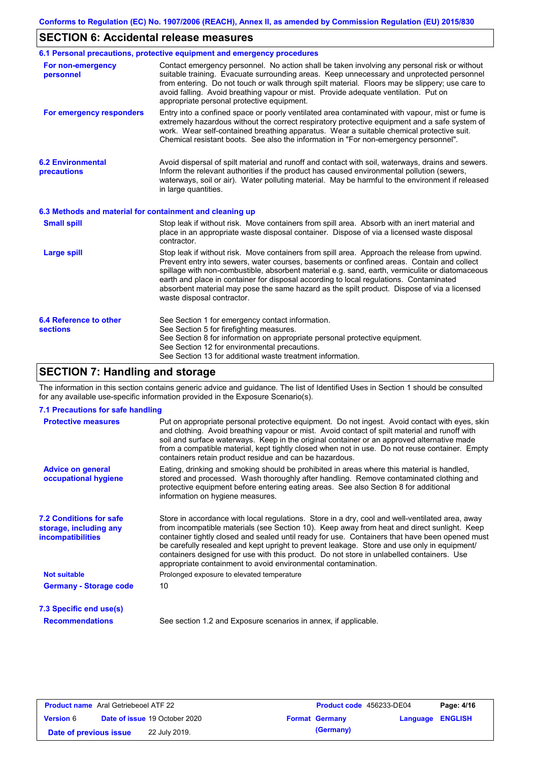# **SECTION 6: Accidental release measures**

|                                                  | 6.1 Personal precautions, protective equipment and emergency procedures                                                                                                                                                                                                                                                                                                                                                                                                                                               |  |  |  |
|--------------------------------------------------|-----------------------------------------------------------------------------------------------------------------------------------------------------------------------------------------------------------------------------------------------------------------------------------------------------------------------------------------------------------------------------------------------------------------------------------------------------------------------------------------------------------------------|--|--|--|
| For non-emergency<br>personnel                   | Contact emergency personnel. No action shall be taken involving any personal risk or without<br>suitable training. Evacuate surrounding areas. Keep unnecessary and unprotected personnel<br>from entering. Do not touch or walk through spilt material. Floors may be slippery; use care to<br>avoid falling. Avoid breathing vapour or mist. Provide adequate ventilation. Put on<br>appropriate personal protective equipment.                                                                                     |  |  |  |
| For emergency responders                         | Entry into a confined space or poorly ventilated area contaminated with vapour, mist or fume is<br>extremely hazardous without the correct respiratory protective equipment and a safe system of<br>work. Wear self-contained breathing apparatus. Wear a suitable chemical protective suit.<br>Chemical resistant boots. See also the information in "For non-emergency personnel".                                                                                                                                  |  |  |  |
| <b>6.2 Environmental</b><br><b>precautions</b>   | Avoid dispersal of spilt material and runoff and contact with soil, waterways, drains and sewers.<br>Inform the relevant authorities if the product has caused environmental pollution (sewers,<br>waterways, soil or air). Water polluting material. May be harmful to the environment if released<br>in large quantities.                                                                                                                                                                                           |  |  |  |
|                                                  | 6.3 Methods and material for containment and cleaning up                                                                                                                                                                                                                                                                                                                                                                                                                                                              |  |  |  |
| <b>Small spill</b>                               | Stop leak if without risk. Move containers from spill area. Absorb with an inert material and<br>place in an appropriate waste disposal container. Dispose of via a licensed waste disposal<br>contractor.                                                                                                                                                                                                                                                                                                            |  |  |  |
| <b>Large spill</b>                               | Stop leak if without risk. Move containers from spill area. Approach the release from upwind.<br>Prevent entry into sewers, water courses, basements or confined areas. Contain and collect<br>spillage with non-combustible, absorbent material e.g. sand, earth, vermiculite or diatomaceous<br>earth and place in container for disposal according to local regulations. Contaminated<br>absorbent material may pose the same hazard as the spilt product. Dispose of via a licensed<br>waste disposal contractor. |  |  |  |
| <b>6.4 Reference to other</b><br><b>sections</b> | See Section 1 for emergency contact information.<br>See Section 5 for firefighting measures.<br>See Section 8 for information on appropriate personal protective equipment.<br>See Section 12 for environmental precautions.<br>See Section 13 for additional waste treatment information.                                                                                                                                                                                                                            |  |  |  |

# **SECTION 7: Handling and storage**

The information in this section contains generic advice and guidance. The list of Identified Uses in Section 1 should be consulted for any available use-specific information provided in the Exposure Scenario(s).

| 7.1 Precautions for safe handling                                                    |                                                                                                                                                                                                                                                                                                                                                                                                                                                                                                                                                               |
|--------------------------------------------------------------------------------------|---------------------------------------------------------------------------------------------------------------------------------------------------------------------------------------------------------------------------------------------------------------------------------------------------------------------------------------------------------------------------------------------------------------------------------------------------------------------------------------------------------------------------------------------------------------|
| <b>Protective measures</b>                                                           | Put on appropriate personal protective equipment. Do not ingest. Avoid contact with eyes, skin<br>and clothing. Avoid breathing vapour or mist. Avoid contact of spilt material and runoff with<br>soil and surface waterways. Keep in the original container or an approved alternative made<br>from a compatible material, kept tightly closed when not in use. Do not reuse container. Empty<br>containers retain product residue and can be hazardous.                                                                                                    |
| <b>Advice on general</b><br>occupational hygiene                                     | Eating, drinking and smoking should be prohibited in areas where this material is handled,<br>stored and processed. Wash thoroughly after handling. Remove contaminated clothing and<br>protective equipment before entering eating areas. See also Section 8 for additional<br>information on hygiene measures.                                                                                                                                                                                                                                              |
| <b>7.2 Conditions for safe</b><br>storage, including any<br><i>incompatibilities</i> | Store in accordance with local regulations. Store in a dry, cool and well-ventilated area, away<br>from incompatible materials (see Section 10). Keep away from heat and direct sunlight. Keep<br>container tightly closed and sealed until ready for use. Containers that have been opened must<br>be carefully resealed and kept upright to prevent leakage. Store and use only in equipment/<br>containers designed for use with this product. Do not store in unlabelled containers. Use<br>appropriate containment to avoid environmental contamination. |
| <b>Not suitable</b>                                                                  | Prolonged exposure to elevated temperature                                                                                                                                                                                                                                                                                                                                                                                                                                                                                                                    |
| <b>Germany - Storage code</b>                                                        | 10                                                                                                                                                                                                                                                                                                                                                                                                                                                                                                                                                            |
| 7.3 Specific end use(s)                                                              |                                                                                                                                                                                                                                                                                                                                                                                                                                                                                                                                                               |
| <b>Recommendations</b>                                                               | See section 1.2 and Exposure scenarios in annex, if applicable.                                                                                                                                                                                                                                                                                                                                                                                                                                                                                               |

| <b>Product name</b> Aral Getriebeoel ATF 22 |  |                                      | Product code 456233-DE04 |                       | Page: 4/16              |  |
|---------------------------------------------|--|--------------------------------------|--------------------------|-----------------------|-------------------------|--|
| <b>Version 6</b>                            |  | <b>Date of issue 19 October 2020</b> |                          | <b>Format Germany</b> | <b>Language ENGLISH</b> |  |
| Date of previous issue                      |  | 22 July 2019.                        |                          | (Germany)             |                         |  |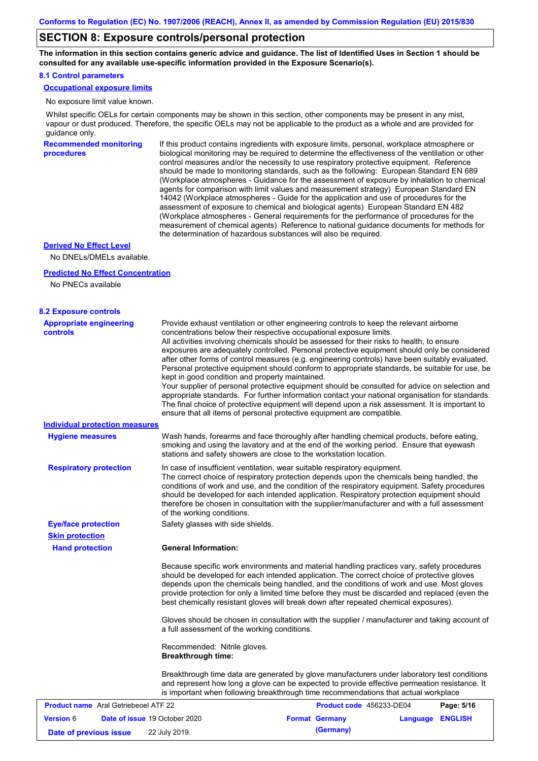### **SECTION 8: Exposure controls/personal protection**

**The information in this section contains generic advice and guidance. The list of Identified Uses in Section 1 should be consulted for any available use-specific information provided in the Exposure Scenario(s).**

#### **8.1 Control parameters**

**Occupational exposure limits**

No exposure limit value known.

Whilst specific OELs for certain components may be shown in this section, other components may be present in any mist, vapour or dust produced. Therefore, the specific OELs may not be applicable to the product as a whole and are provided for guidance only.

**Recommended monitoring procedures** If this product contains ingredients with exposure limits, personal, workplace atmosphere or biological monitoring may be required to determine the effectiveness of the ventilation or other control measures and/or the necessity to use respiratory protective equipment. Reference should be made to monitoring standards, such as the following: European Standard EN 689 (Workplace atmospheres - Guidance for the assessment of exposure by inhalation to chemical agents for comparison with limit values and measurement strategy) European Standard EN 14042 (Workplace atmospheres - Guide for the application and use of procedures for the assessment of exposure to chemical and biological agents) European Standard EN 482 (Workplace atmospheres - General requirements for the performance of procedures for the measurement of chemical agents) Reference to national guidance documents for methods for the determination of hazardous substances will also be required.

#### **Derived No Effect Level**

No DNELs/DMELs available.

#### **Predicted No Effect Concentration**

No PNECs available

| <b>8.2 Exposure controls</b>                      |                                                           |                                                                                                                                                                                                                                                                                                                                                                                                                                                                                                                                                                                                                                                                                                                                                                                                                                                                                                                                                      |          |                |
|---------------------------------------------------|-----------------------------------------------------------|------------------------------------------------------------------------------------------------------------------------------------------------------------------------------------------------------------------------------------------------------------------------------------------------------------------------------------------------------------------------------------------------------------------------------------------------------------------------------------------------------------------------------------------------------------------------------------------------------------------------------------------------------------------------------------------------------------------------------------------------------------------------------------------------------------------------------------------------------------------------------------------------------------------------------------------------------|----------|----------------|
| <b>Appropriate engineering</b><br><b>controls</b> | kept in good condition and properly maintained.           | Provide exhaust ventilation or other engineering controls to keep the relevant airborne<br>concentrations below their respective occupational exposure limits.<br>All activities involving chemicals should be assessed for their risks to health, to ensure<br>exposures are adequately controlled. Personal protective equipment should only be considered<br>after other forms of control measures (e.g. engineering controls) have been suitably evaluated.<br>Personal protective equipment should conform to appropriate standards, be suitable for use, be<br>Your supplier of personal protective equipment should be consulted for advice on selection and<br>appropriate standards. For further information contact your national organisation for standards.<br>The final choice of protective equipment will depend upon a risk assessment. It is important to<br>ensure that all items of personal protective equipment are compatible. |          |                |
| Individual protection measures                    |                                                           |                                                                                                                                                                                                                                                                                                                                                                                                                                                                                                                                                                                                                                                                                                                                                                                                                                                                                                                                                      |          |                |
| <b>Hygiene measures</b>                           |                                                           | Wash hands, forearms and face thoroughly after handling chemical products, before eating,<br>smoking and using the lavatory and at the end of the working period. Ensure that eyewash<br>stations and safety showers are close to the workstation location.                                                                                                                                                                                                                                                                                                                                                                                                                                                                                                                                                                                                                                                                                          |          |                |
| <b>Respiratory protection</b>                     | of the working conditions.                                | In case of insufficient ventilation, wear suitable respiratory equipment.<br>The correct choice of respiratory protection depends upon the chemicals being handled, the<br>conditions of work and use, and the condition of the respiratory equipment. Safety procedures<br>should be developed for each intended application. Respiratory protection equipment should<br>therefore be chosen in consultation with the supplier/manufacturer and with a full assessment                                                                                                                                                                                                                                                                                                                                                                                                                                                                              |          |                |
| <b>Eye/face protection</b>                        | Safety glasses with side shields.                         |                                                                                                                                                                                                                                                                                                                                                                                                                                                                                                                                                                                                                                                                                                                                                                                                                                                                                                                                                      |          |                |
| <b>Skin protection</b>                            |                                                           |                                                                                                                                                                                                                                                                                                                                                                                                                                                                                                                                                                                                                                                                                                                                                                                                                                                                                                                                                      |          |                |
| <b>Hand protection</b>                            | <b>General Information:</b>                               |                                                                                                                                                                                                                                                                                                                                                                                                                                                                                                                                                                                                                                                                                                                                                                                                                                                                                                                                                      |          |                |
|                                                   |                                                           | Because specific work environments and material handling practices vary, safety procedures<br>should be developed for each intended application. The correct choice of protective gloves<br>depends upon the chemicals being handled, and the conditions of work and use. Most gloves<br>provide protection for only a limited time before they must be discarded and replaced (even the<br>best chemically resistant gloves will break down after repeated chemical exposures).<br>Gloves should be chosen in consultation with the supplier / manufacturer and taking account of                                                                                                                                                                                                                                                                                                                                                                   |          |                |
|                                                   | a full assessment of the working conditions.              |                                                                                                                                                                                                                                                                                                                                                                                                                                                                                                                                                                                                                                                                                                                                                                                                                                                                                                                                                      |          |                |
|                                                   | Recommended: Nitrile gloves.<br><b>Breakthrough time:</b> |                                                                                                                                                                                                                                                                                                                                                                                                                                                                                                                                                                                                                                                                                                                                                                                                                                                                                                                                                      |          |                |
|                                                   |                                                           | Breakthrough time data are generated by glove manufacturers under laboratory test conditions<br>and represent how long a glove can be expected to provide effective permeation resistance. It<br>is important when following breakthrough time recommendations that actual workplace                                                                                                                                                                                                                                                                                                                                                                                                                                                                                                                                                                                                                                                                 |          |                |
| <b>Product name</b> Aral Getriebeoel ATF 22       |                                                           | Product code 456233-DE04                                                                                                                                                                                                                                                                                                                                                                                                                                                                                                                                                                                                                                                                                                                                                                                                                                                                                                                             |          | Page: 5/16     |
| <b>Version 6</b>                                  | Date of issue 19 October 2020                             | <b>Format Germany</b>                                                                                                                                                                                                                                                                                                                                                                                                                                                                                                                                                                                                                                                                                                                                                                                                                                                                                                                                | Language | <b>ENGLISH</b> |

**Date of previous issue 22 July 2019. (Germany) (Germany)**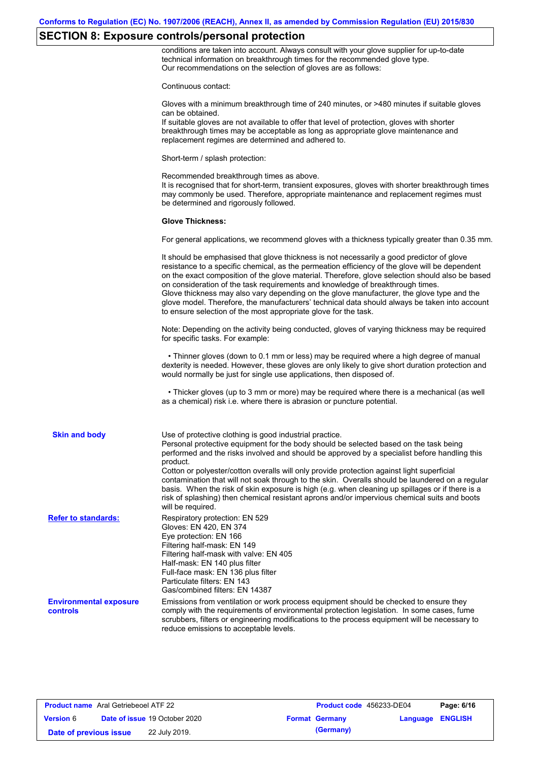# **SECTION 8: Exposure controls/personal protection**

conditions are taken into account. Always consult with your glove supplier for up-to-date technical information on breakthrough times for the recommended glove type. Our recommendations on the selection of gloves are as follows:

Continuous contact:

|                                           | Continuous contact:                                                                                                                                                                                                                                                                                                                                                                                                                                                                                                                                                                                                                                                                   |
|-------------------------------------------|---------------------------------------------------------------------------------------------------------------------------------------------------------------------------------------------------------------------------------------------------------------------------------------------------------------------------------------------------------------------------------------------------------------------------------------------------------------------------------------------------------------------------------------------------------------------------------------------------------------------------------------------------------------------------------------|
|                                           | Gloves with a minimum breakthrough time of 240 minutes, or >480 minutes if suitable gloves<br>can be obtained.<br>If suitable gloves are not available to offer that level of protection, gloves with shorter<br>breakthrough times may be acceptable as long as appropriate glove maintenance and<br>replacement regimes are determined and adhered to.                                                                                                                                                                                                                                                                                                                              |
|                                           | Short-term / splash protection:                                                                                                                                                                                                                                                                                                                                                                                                                                                                                                                                                                                                                                                       |
|                                           | Recommended breakthrough times as above.<br>It is recognised that for short-term, transient exposures, gloves with shorter breakthrough times<br>may commonly be used. Therefore, appropriate maintenance and replacement regimes must<br>be determined and rigorously followed.                                                                                                                                                                                                                                                                                                                                                                                                      |
|                                           | <b>Glove Thickness:</b>                                                                                                                                                                                                                                                                                                                                                                                                                                                                                                                                                                                                                                                               |
|                                           | For general applications, we recommend gloves with a thickness typically greater than 0.35 mm.                                                                                                                                                                                                                                                                                                                                                                                                                                                                                                                                                                                        |
|                                           | It should be emphasised that glove thickness is not necessarily a good predictor of glove<br>resistance to a specific chemical, as the permeation efficiency of the glove will be dependent<br>on the exact composition of the glove material. Therefore, glove selection should also be based<br>on consideration of the task requirements and knowledge of breakthrough times.<br>Glove thickness may also vary depending on the glove manufacturer, the glove type and the<br>glove model. Therefore, the manufacturers' technical data should always be taken into account<br>to ensure selection of the most appropriate glove for the task.                                     |
|                                           | Note: Depending on the activity being conducted, gloves of varying thickness may be required<br>for specific tasks. For example:                                                                                                                                                                                                                                                                                                                                                                                                                                                                                                                                                      |
|                                           | • Thinner gloves (down to 0.1 mm or less) may be required where a high degree of manual<br>dexterity is needed. However, these gloves are only likely to give short duration protection and<br>would normally be just for single use applications, then disposed of.                                                                                                                                                                                                                                                                                                                                                                                                                  |
|                                           | • Thicker gloves (up to 3 mm or more) may be required where there is a mechanical (as well<br>as a chemical) risk i.e. where there is abrasion or puncture potential.                                                                                                                                                                                                                                                                                                                                                                                                                                                                                                                 |
| <b>Skin and body</b>                      | Use of protective clothing is good industrial practice.<br>Personal protective equipment for the body should be selected based on the task being<br>performed and the risks involved and should be approved by a specialist before handling this<br>product.<br>Cotton or polyester/cotton overalls will only provide protection against light superficial<br>contamination that will not soak through to the skin. Overalls should be laundered on a regular<br>basis. When the risk of skin exposure is high (e.g. when cleaning up spillages or if there is a<br>risk of splashing) then chemical resistant aprons and/or impervious chemical suits and boots<br>will be required. |
| <b>Refer to standards:</b>                | Respiratory protection: EN 529<br>Gloves: EN 420, EN 374<br>Eye protection: EN 166<br>Filtering half-mask: EN 149<br>Filtering half-mask with valve: EN 405<br>Half-mask: EN 140 plus filter<br>Full-face mask: EN 136 plus filter<br>Particulate filters: EN 143<br>Gas/combined filters: EN 14387                                                                                                                                                                                                                                                                                                                                                                                   |
| <b>Environmental exposure</b><br>controls | Emissions from ventilation or work process equipment should be checked to ensure they<br>comply with the requirements of environmental protection legislation. In some cases, fume<br>scrubbers, filters or engineering modifications to the process equipment will be necessary to<br>reduce emissions to acceptable levels.                                                                                                                                                                                                                                                                                                                                                         |

| <b>Product name</b> Aral Getriebeoel ATF 22 |  |                                      | <b>Product code</b> 456233-DE04 |                       | Page: 6/16       |  |
|---------------------------------------------|--|--------------------------------------|---------------------------------|-----------------------|------------------|--|
| <b>Version 6</b>                            |  | <b>Date of issue 19 October 2020</b> |                                 | <b>Format Germany</b> | Language ENGLISH |  |
| Date of previous issue                      |  | 22 July 2019.                        |                                 | (Germany)             |                  |  |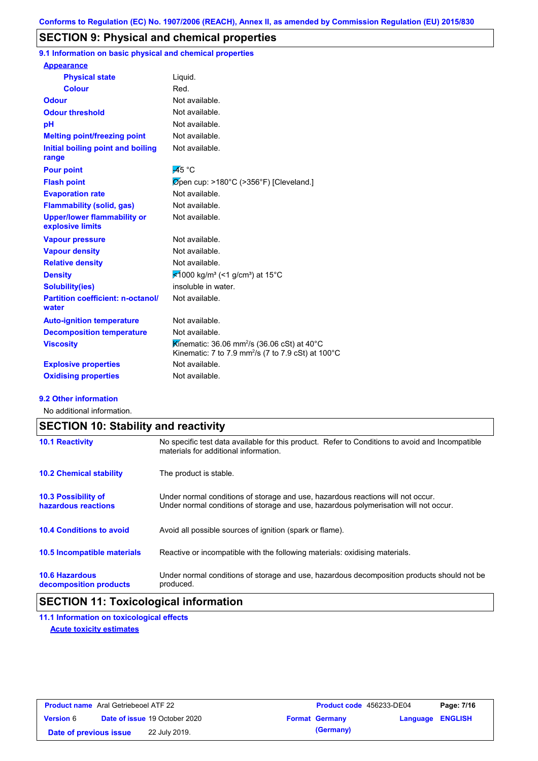## **SECTION 9: Physical and chemical properties**

**9.1 Information on basic physical and chemical properties**

| Liquid.                                                                                                                              |
|--------------------------------------------------------------------------------------------------------------------------------------|
| Red.                                                                                                                                 |
| Not available.                                                                                                                       |
| Not available.                                                                                                                       |
| Not available.                                                                                                                       |
| Not available.                                                                                                                       |
| Not available.                                                                                                                       |
| $\overline{A}5^{\circ}$ C                                                                                                            |
| $\varnothing$ pen cup: >180°C (>356°F) [Cleveland.]                                                                                  |
| Not available.                                                                                                                       |
| Not available.                                                                                                                       |
| Not available.                                                                                                                       |
| Not available.                                                                                                                       |
| Not available.                                                                                                                       |
| Not available.                                                                                                                       |
| <del></del> <del>⊄</del> 1000 kg/m <sup>3</sup> (<1 g/cm <sup>3</sup> ) at 15°C                                                      |
| insoluble in water.                                                                                                                  |
| Not available.                                                                                                                       |
| Not available.                                                                                                                       |
| Not available.                                                                                                                       |
| Kinematic: 36.06 mm <sup>2</sup> /s (36.06 cSt) at 40°C<br>Kinematic: 7 to 7.9 mm <sup>2</sup> /s (7 to 7.9 cSt) at 100 $^{\circ}$ C |
| Not available.                                                                                                                       |
| Not available.                                                                                                                       |
|                                                                                                                                      |

#### **9.2 Other information**

No additional information.

|                                                   | <b>SECTION 10: Stability and reactivity</b>                                                                                                                             |  |  |  |  |
|---------------------------------------------------|-------------------------------------------------------------------------------------------------------------------------------------------------------------------------|--|--|--|--|
| <b>10.1 Reactivity</b>                            | No specific test data available for this product. Refer to Conditions to avoid and Incompatible<br>materials for additional information.                                |  |  |  |  |
| <b>10.2 Chemical stability</b>                    | The product is stable.                                                                                                                                                  |  |  |  |  |
| <b>10.3 Possibility of</b><br>hazardous reactions | Under normal conditions of storage and use, hazardous reactions will not occur.<br>Under normal conditions of storage and use, hazardous polymerisation will not occur. |  |  |  |  |
| <b>10.4 Conditions to avoid</b>                   | Avoid all possible sources of ignition (spark or flame).                                                                                                                |  |  |  |  |
| <b>10.5 Incompatible materials</b>                | Reactive or incompatible with the following materials: oxidising materials.                                                                                             |  |  |  |  |
| <b>10.6 Hazardous</b><br>decomposition products   | Under normal conditions of storage and use, hazardous decomposition products should not be<br>produced.                                                                 |  |  |  |  |

# **SECTION 11: Toxicological information**

**11.1 Information on toxicological effects Acute toxicity estimates**

| <b>Product name</b> Aral Getriebeoel ATF 22 |  |                                      | <b>Product code</b> 456233-DE04 |                       | Page: 7/16              |  |
|---------------------------------------------|--|--------------------------------------|---------------------------------|-----------------------|-------------------------|--|
| <b>Version 6</b>                            |  | <b>Date of issue 19 October 2020</b> |                                 | <b>Format Germany</b> | <b>Language ENGLISH</b> |  |
| Date of previous issue                      |  | 22 July 2019.                        |                                 | (Germany)             |                         |  |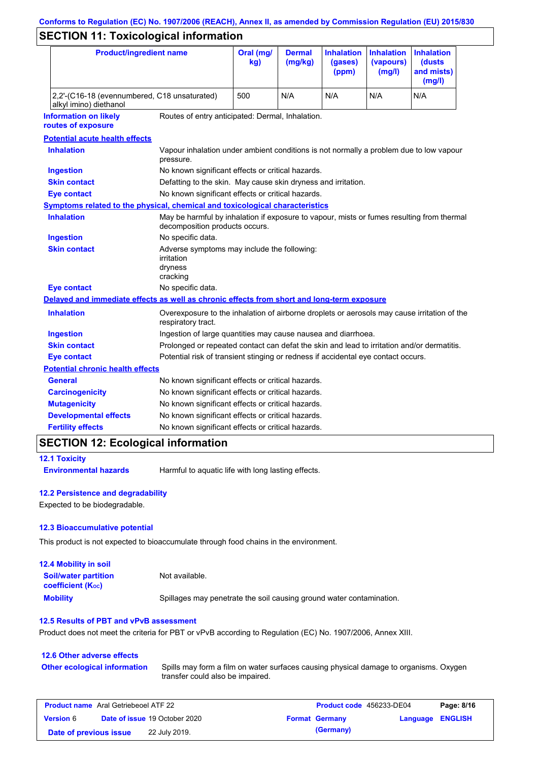# **SECTION 11: Toxicological information**

| <b>Product/ingredient name</b>                                                             |                                                                                                                             | Oral (mg/<br>kg) | <b>Dermal</b><br>(mg/kg) | <b>Inhalation</b><br>(gases)<br>(ppm) | <b>Inhalation</b><br>(vapours)<br>(mg/l) | <b>Inhalation</b><br>(dusts<br>and mists)<br>(mg/l) |
|--------------------------------------------------------------------------------------------|-----------------------------------------------------------------------------------------------------------------------------|------------------|--------------------------|---------------------------------------|------------------------------------------|-----------------------------------------------------|
| 2,2'-(C16-18 (evennumbered, C18 unsaturated)<br>alkyl imino) diethanol                     | 500                                                                                                                         | N/A              | N/A                      | N/A                                   | N/A                                      |                                                     |
| <b>Information on likely</b><br>routes of exposure                                         | Routes of entry anticipated: Dermal, Inhalation.                                                                            |                  |                          |                                       |                                          |                                                     |
| <b>Potential acute health effects</b>                                                      |                                                                                                                             |                  |                          |                                       |                                          |                                                     |
| <b>Inhalation</b>                                                                          | Vapour inhalation under ambient conditions is not normally a problem due to low vapour<br>pressure.                         |                  |                          |                                       |                                          |                                                     |
| <b>Ingestion</b>                                                                           | No known significant effects or critical hazards.                                                                           |                  |                          |                                       |                                          |                                                     |
| <b>Skin contact</b>                                                                        | Defatting to the skin. May cause skin dryness and irritation.                                                               |                  |                          |                                       |                                          |                                                     |
| <b>Eye contact</b>                                                                         | No known significant effects or critical hazards.                                                                           |                  |                          |                                       |                                          |                                                     |
| Symptoms related to the physical, chemical and toxicological characteristics               |                                                                                                                             |                  |                          |                                       |                                          |                                                     |
| <b>Inhalation</b>                                                                          | May be harmful by inhalation if exposure to vapour, mists or fumes resulting from thermal<br>decomposition products occurs. |                  |                          |                                       |                                          |                                                     |
| <b>Ingestion</b>                                                                           | No specific data.                                                                                                           |                  |                          |                                       |                                          |                                                     |
| <b>Skin contact</b>                                                                        | Adverse symptoms may include the following:<br>irritation<br>dryness<br>cracking                                            |                  |                          |                                       |                                          |                                                     |
| <b>Eye contact</b>                                                                         | No specific data.                                                                                                           |                  |                          |                                       |                                          |                                                     |
| Delayed and immediate effects as well as chronic effects from short and long-term exposure |                                                                                                                             |                  |                          |                                       |                                          |                                                     |
| <b>Inhalation</b>                                                                          | Overexposure to the inhalation of airborne droplets or aerosols may cause irritation of the<br>respiratory tract.           |                  |                          |                                       |                                          |                                                     |
| <b>Ingestion</b>                                                                           | Ingestion of large quantities may cause nausea and diarrhoea.                                                               |                  |                          |                                       |                                          |                                                     |
| <b>Skin contact</b>                                                                        | Prolonged or repeated contact can defat the skin and lead to irritation and/or dermatitis.                                  |                  |                          |                                       |                                          |                                                     |
| <b>Eye contact</b>                                                                         | Potential risk of transient stinging or redness if accidental eye contact occurs.                                           |                  |                          |                                       |                                          |                                                     |
| <b>Potential chronic health effects</b>                                                    |                                                                                                                             |                  |                          |                                       |                                          |                                                     |
| General                                                                                    | No known significant effects or critical hazards.                                                                           |                  |                          |                                       |                                          |                                                     |
| <b>Carcinogenicity</b>                                                                     | No known significant effects or critical hazards.                                                                           |                  |                          |                                       |                                          |                                                     |
| <b>Mutagenicity</b>                                                                        | No known significant effects or critical hazards.                                                                           |                  |                          |                                       |                                          |                                                     |
| <b>Developmental effects</b>                                                               | No known significant effects or critical hazards.                                                                           |                  |                          |                                       |                                          |                                                     |
| <b>Fertility effects</b>                                                                   | No known significant effects or critical hazards.                                                                           |                  |                          |                                       |                                          |                                                     |

# **SECTION 12: Ecological information**

**12.1 Toxicity**

**Environmental hazards** Harmful to aquatic life with long lasting effects.

#### **12.2 Persistence and degradability**

Expected to be biodegradable.

#### **12.3 Bioaccumulative potential**

This product is not expected to bioaccumulate through food chains in the environment.

| <b>12.4 Mobility in soil</b>                                  |                                                                      |
|---------------------------------------------------------------|----------------------------------------------------------------------|
| <b>Soil/water partition</b><br>coefficient (K <sub>oc</sub> ) | Not available.                                                       |
| <b>Mobility</b>                                               | Spillages may penetrate the soil causing ground water contamination. |

#### **12.5 Results of PBT and vPvB assessment**

Product does not meet the criteria for PBT or vPvB according to Regulation (EC) No. 1907/2006, Annex XIII.

# **12.6 Other adverse effects**

**Other ecological information**

Spills may form a film on water surfaces causing physical damage to organisms. Oxygen transfer could also be impaired.

| <b>Product name</b> Aral Getriebeoel ATF 22 |  |                                      | <b>Product code</b> 456233-DE04 |                       | Page: 8/16       |  |
|---------------------------------------------|--|--------------------------------------|---------------------------------|-----------------------|------------------|--|
| <b>Version 6</b>                            |  | <b>Date of issue 19 October 2020</b> |                                 | <b>Format Germany</b> | Language ENGLISH |  |
| Date of previous issue                      |  | 22 July 2019.                        |                                 | (Germany)             |                  |  |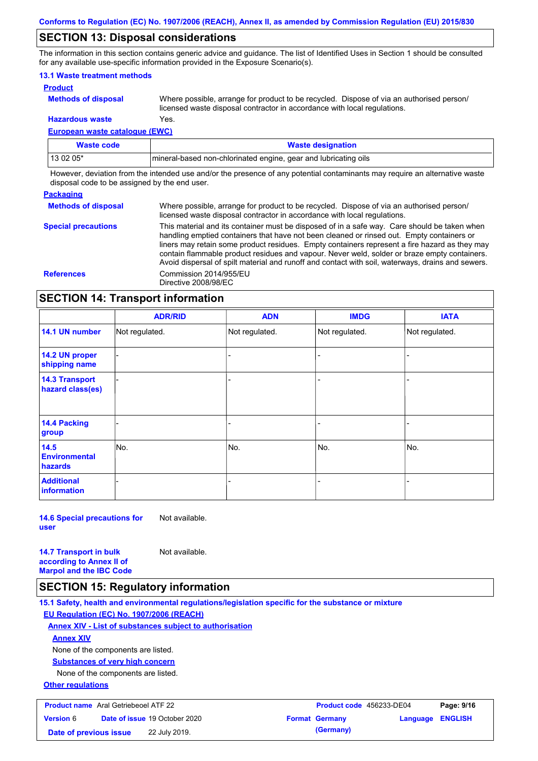### **SECTION 13: Disposal considerations**

The information in this section contains generic advice and guidance. The list of Identified Uses in Section 1 should be consulted for any available use-specific information provided in the Exposure Scenario(s).

### **13.1 Waste treatment methods**

**Product**

**Methods of disposal**

Where possible, arrange for product to be recycled. Dispose of via an authorised person/ licensed waste disposal contractor in accordance with local regulations.

#### **European waste catalogue (EWC) Hazardous waste** Yes.

| Waste code | <b>Waste designation</b>                                        |
|------------|-----------------------------------------------------------------|
| 13 02 05*  | mineral-based non-chlorinated engine, gear and lubricating oils |

However, deviation from the intended use and/or the presence of any potential contaminants may require an alternative waste disposal code to be assigned by the end user.

#### **Packaging**

| <b>Methods of disposal</b> | Where possible, arrange for product to be recycled. Dispose of via an authorised person/<br>licensed waste disposal contractor in accordance with local regulations.                                                                                                                                                                                                                                                                                                                            |
|----------------------------|-------------------------------------------------------------------------------------------------------------------------------------------------------------------------------------------------------------------------------------------------------------------------------------------------------------------------------------------------------------------------------------------------------------------------------------------------------------------------------------------------|
| <b>Special precautions</b> | This material and its container must be disposed of in a safe way. Care should be taken when<br>handling emptied containers that have not been cleaned or rinsed out. Empty containers or<br>liners may retain some product residues. Empty containers represent a fire hazard as they may<br>contain flammable product residues and vapour. Never weld, solder or braze empty containers.<br>Avoid dispersal of spilt material and runoff and contact with soil, waterways, drains and sewers. |
| <b>References</b>          | Commission 2014/955/EU<br>Directive 2008/98/EC                                                                                                                                                                                                                                                                                                                                                                                                                                                  |

# **SECTION 14: Transport information**

|                                           | <b>ADR/RID</b> | <b>ADN</b>     | <b>IMDG</b>    | <b>IATA</b>    |
|-------------------------------------------|----------------|----------------|----------------|----------------|
| 14.1 UN number                            | Not regulated. | Not regulated. | Not regulated. | Not regulated. |
| 14.2 UN proper<br>shipping name           |                |                |                |                |
| <b>14.3 Transport</b><br>hazard class(es) |                |                |                |                |
| 14.4 Packing<br>group                     |                |                | -              |                |
| 14.5<br><b>Environmental</b><br>hazards   | No.            | No.            | No.            | No.            |
| <b>Additional</b><br>information          |                |                | ۰              |                |

**14.6 Special precautions for user** Not available.

**14.7 Transport in bulk according to Annex II of Marpol and the IBC Code** Not available.

### **SECTION 15: Regulatory information**

**15.1 Safety, health and environmental regulations/legislation specific for the substance or mixture EU Regulation (EC) No. 1907/2006 (REACH)**

**Annex XIV - List of substances subject to authorisation**

#### **Annex XIV**

None of the components are listed.

**Substances of very high concern**

None of the components are listed.

#### **Other regulations**

| <b>Product name</b> Aral Getriebeoel ATF 22 |                                      | <b>Product code</b> 456233-DE04 |                         | Page: 9/16 |
|---------------------------------------------|--------------------------------------|---------------------------------|-------------------------|------------|
| <b>Version 6</b>                            | <b>Date of issue 19 October 2020</b> | <b>Format Germany</b>           | <b>Language ENGLISH</b> |            |
| Date of previous issue                      | 22 July 2019.                        | (Germany)                       |                         |            |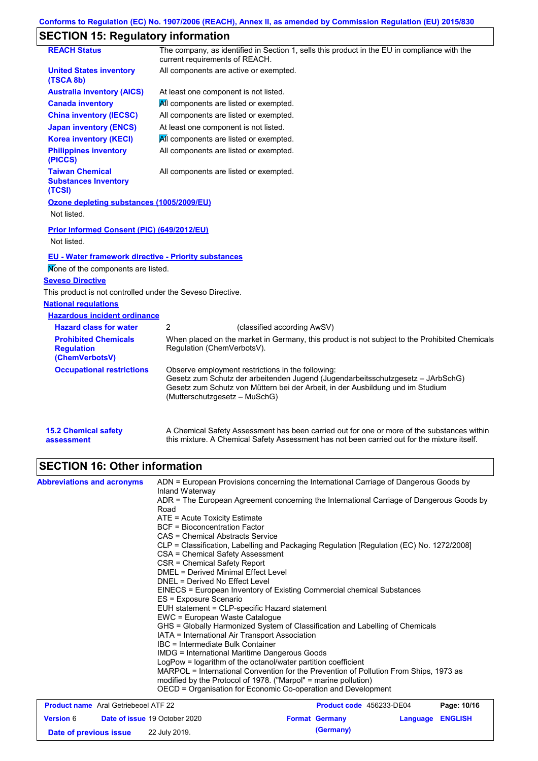# **SECTION 15: Regulatory information**

| <b>REACH Status</b>                                                | The company, as identified in Section 1, sells this product in the EU in compliance with the<br>current requirements of REACH.                                                                                                                          |
|--------------------------------------------------------------------|---------------------------------------------------------------------------------------------------------------------------------------------------------------------------------------------------------------------------------------------------------|
| <b>United States inventory</b><br>(TSCA 8b)                        | All components are active or exempted.                                                                                                                                                                                                                  |
| <b>Australia inventory (AICS)</b>                                  | At least one component is not listed.                                                                                                                                                                                                                   |
| <b>Canada inventory</b>                                            | All components are listed or exempted.                                                                                                                                                                                                                  |
| <b>China inventory (IECSC)</b>                                     | All components are listed or exempted.                                                                                                                                                                                                                  |
| <b>Japan inventory (ENCS)</b>                                      | At least one component is not listed.                                                                                                                                                                                                                   |
| <b>Korea inventory (KECI)</b>                                      | All components are listed or exempted.                                                                                                                                                                                                                  |
| <b>Philippines inventory</b><br>(PICCS)                            | All components are listed or exempted.                                                                                                                                                                                                                  |
| <b>Taiwan Chemical</b><br><b>Substances Inventory</b><br>(TCSI)    | All components are listed or exempted.                                                                                                                                                                                                                  |
| Ozone depleting substances (1005/2009/EU)<br>Not listed.           |                                                                                                                                                                                                                                                         |
| Prior Informed Consent (PIC) (649/2012/EU)<br>Not listed.          |                                                                                                                                                                                                                                                         |
| <b>EU - Water framework directive - Priority substances</b>        |                                                                                                                                                                                                                                                         |
| Mone of the components are listed.                                 |                                                                                                                                                                                                                                                         |
| <b>Seveso Directive</b>                                            |                                                                                                                                                                                                                                                         |
| This product is not controlled under the Seveso Directive.         |                                                                                                                                                                                                                                                         |
| <b>National regulations</b>                                        |                                                                                                                                                                                                                                                         |
| <b>Hazardous incident ordinance</b>                                |                                                                                                                                                                                                                                                         |
| <b>Hazard class for water</b>                                      | 2<br>(classified according AwSV)                                                                                                                                                                                                                        |
| <b>Prohibited Chemicals</b><br><b>Regulation</b><br>(ChemVerbotsV) | When placed on the market in Germany, this product is not subject to the Prohibited Chemicals<br>Regulation (ChemVerbotsV).                                                                                                                             |
| <b>Occupational restrictions</b>                                   | Observe employment restrictions in the following:<br>Gesetz zum Schutz der arbeitenden Jugend (Jugendarbeitsschutzgesetz - JArbSchG)<br>Gesetz zum Schutz von Müttern bei der Arbeit, in der Ausbildung und im Studium<br>(Mutterschutzgesetz - MuSchG) |
| <b>15.2 Chemical safety</b>                                        | A Chemical Safety Assessment has been carried out for one or more of the substances within                                                                                                                                                              |

# **SECTION 16: Other information**

**assessment**

| <b>Abbreviations and acronyms</b>                        | ADN = European Provisions concerning the International Carriage of Dangerous Goods by                          |                          |          |                |  |
|----------------------------------------------------------|----------------------------------------------------------------------------------------------------------------|--------------------------|----------|----------------|--|
|                                                          | Inland Waterway<br>ADR = The European Agreement concerning the International Carriage of Dangerous Goods by    |                          |          |                |  |
|                                                          | Road                                                                                                           |                          |          |                |  |
|                                                          | $ATE = Acute Toxicity Estimate$                                                                                |                          |          |                |  |
|                                                          | <b>BCF</b> = Bioconcentration Factor                                                                           |                          |          |                |  |
|                                                          | CAS = Chemical Abstracts Service                                                                               |                          |          |                |  |
|                                                          | CLP = Classification, Labelling and Packaging Regulation [Regulation (EC) No. 1272/2008]                       |                          |          |                |  |
|                                                          | CSA = Chemical Safety Assessment                                                                               |                          |          |                |  |
|                                                          | CSR = Chemical Safety Report<br>DMEL = Derived Minimal Effect Level                                            |                          |          |                |  |
|                                                          | DNEL = Derived No Effect Level                                                                                 |                          |          |                |  |
|                                                          | EINECS = European Inventory of Existing Commercial chemical Substances                                         |                          |          |                |  |
|                                                          | ES = Exposure Scenario                                                                                         |                          |          |                |  |
|                                                          | EUH statement = CLP-specific Hazard statement                                                                  |                          |          |                |  |
|                                                          | EWC = European Waste Catalogue                                                                                 |                          |          |                |  |
|                                                          | GHS = Globally Harmonized System of Classification and Labelling of Chemicals                                  |                          |          |                |  |
|                                                          | IATA = International Air Transport Association                                                                 |                          |          |                |  |
|                                                          | IBC = Intermediate Bulk Container                                                                              |                          |          |                |  |
|                                                          | IMDG = International Maritime Dangerous Goods<br>LogPow = logarithm of the octanol/water partition coefficient |                          |          |                |  |
|                                                          | MARPOL = International Convention for the Prevention of Pollution From Ships, 1973 as                          |                          |          |                |  |
|                                                          | modified by the Protocol of 1978. ("Marpol" = marine pollution)                                                |                          |          |                |  |
|                                                          | OECD = Organisation for Economic Co-operation and Development                                                  |                          |          |                |  |
| <b>Product name</b> Aral Getriebeoel ATF 22              |                                                                                                                | Product code 456233-DE04 |          | Page: 10/16    |  |
| <b>Date of issue 19 October 2020</b><br><b>Version 6</b> |                                                                                                                | <b>Format Germany</b>    | Language | <b>ENGLISH</b> |  |

**Date of previous issue 22 July 2019. (Germany) (Germany)** 

this mixture. A Chemical Safety Assessment has not been carried out for the mixture itself.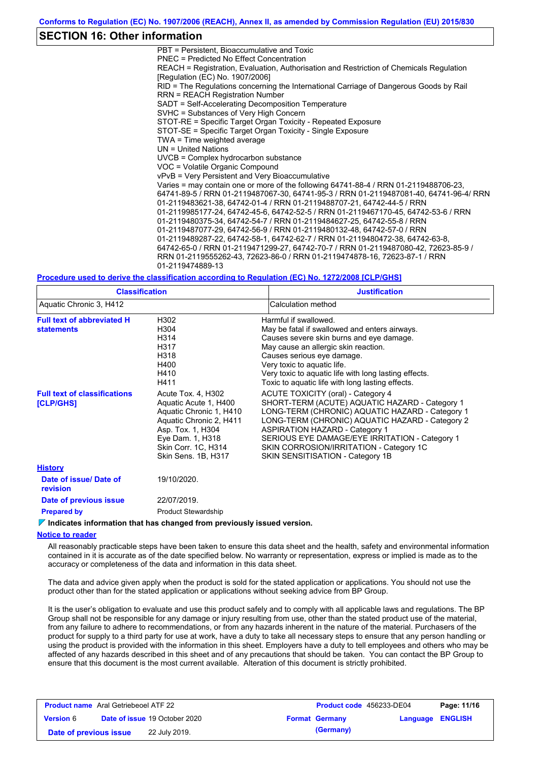### **SECTION 16: Other information**

PBT = Persistent, Bioaccumulative and Toxic PNEC = Predicted No Effect Concentration REACH = Registration, Evaluation, Authorisation and Restriction of Chemicals Regulation [Regulation (EC) No. 1907/2006] RID = The Regulations concerning the International Carriage of Dangerous Goods by Rail RRN = REACH Registration Number SADT = Self-Accelerating Decomposition Temperature SVHC = Substances of Very High Concern STOT-RE = Specific Target Organ Toxicity - Repeated Exposure STOT-SE = Specific Target Organ Toxicity - Single Exposure TWA = Time weighted average UN = United Nations UVCB = Complex hydrocarbon substance VOC = Volatile Organic Compound vPvB = Very Persistent and Very Bioaccumulative Varies = may contain one or more of the following 64741-88-4 / RRN 01-2119488706-23, 64741-89-5 / RRN 01-2119487067-30, 64741-95-3 / RRN 01-2119487081-40, 64741-96-4/ RRN 01-2119483621-38, 64742-01-4 / RRN 01-2119488707-21, 64742-44-5 / RRN 01-2119985177-24, 64742-45-6, 64742-52-5 / RRN 01-2119467170-45, 64742-53-6 / RRN 01-2119480375-34, 64742-54-7 / RRN 01-2119484627-25, 64742-55-8 / RRN 01-2119487077-29, 64742-56-9 / RRN 01-2119480132-48, 64742-57-0 / RRN 01-2119489287-22, 64742-58-1, 64742-62-7 / RRN 01-2119480472-38, 64742-63-8, 64742-65-0 / RRN 01-2119471299-27, 64742-70-7 / RRN 01-2119487080-42, 72623-85-9 / RRN 01-2119555262-43, 72623-86-0 / RRN 01-2119474878-16, 72623-87-1 / RRN 01-2119474889-13

#### **Procedure used to derive the classification according to Regulation (EC) No. 1272/2008 [CLP/GHS]**

| <b>Classification</b>                                  |                                                                                                                                                                                          | <b>Justification</b>                                                                                                                                                                                                                                                                                                                                                 |
|--------------------------------------------------------|------------------------------------------------------------------------------------------------------------------------------------------------------------------------------------------|----------------------------------------------------------------------------------------------------------------------------------------------------------------------------------------------------------------------------------------------------------------------------------------------------------------------------------------------------------------------|
| Aquatic Chronic 3, H412                                |                                                                                                                                                                                          | Calculation method                                                                                                                                                                                                                                                                                                                                                   |
| <b>Full text of abbreviated H</b><br><b>statements</b> | H302<br>H304<br>H314<br>H317<br>H318<br>H400<br>H410<br>H411                                                                                                                             | Harmful if swallowed.<br>May be fatal if swallowed and enters airways.<br>Causes severe skin burns and eye damage.<br>May cause an allergic skin reaction.<br>Causes serious eye damage.<br>Very toxic to aquatic life.<br>Very toxic to aquatic life with long lasting effects.<br>Toxic to aquatic life with long lasting effects.                                 |
| <b>Full text of classifications</b><br>[CLP/GHS]       | Acute Tox. 4, H302<br>Aquatic Acute 1, H400<br>Aquatic Chronic 1, H410<br>Aquatic Chronic 2, H411<br>Asp. Tox. 1, H304<br>Eye Dam. 1, H318<br>Skin Corr. 1C, H314<br>Skin Sens. 1B, H317 | ACUTE TOXICITY (oral) - Category 4<br>SHORT-TERM (ACUTE) AQUATIC HAZARD - Category 1<br>LONG-TERM (CHRONIC) AQUATIC HAZARD - Category 1<br>LONG-TERM (CHRONIC) AQUATIC HAZARD - Category 2<br><b>ASPIRATION HAZARD - Category 1</b><br>SERIOUS EYE DAMAGE/EYE IRRITATION - Category 1<br>SKIN CORROSION/IRRITATION - Category 1C<br>SKIN SENSITISATION - Category 1B |
| <b>History</b>                                         |                                                                                                                                                                                          |                                                                                                                                                                                                                                                                                                                                                                      |
| Date of issue/Date of<br>revision                      | 19/10/2020.                                                                                                                                                                              |                                                                                                                                                                                                                                                                                                                                                                      |
| Date of previous issue                                 | 22/07/2019.                                                                                                                                                                              |                                                                                                                                                                                                                                                                                                                                                                      |
| <b>Prepared by</b>                                     | <b>Product Stewardship</b>                                                                                                                                                               |                                                                                                                                                                                                                                                                                                                                                                      |

**Indicates information that has changed from previously issued version.**

#### **Notice to reader**

All reasonably practicable steps have been taken to ensure this data sheet and the health, safety and environmental information contained in it is accurate as of the date specified below. No warranty or representation, express or implied is made as to the accuracy or completeness of the data and information in this data sheet.

The data and advice given apply when the product is sold for the stated application or applications. You should not use the product other than for the stated application or applications without seeking advice from BP Group.

It is the user's obligation to evaluate and use this product safely and to comply with all applicable laws and regulations. The BP Group shall not be responsible for any damage or injury resulting from use, other than the stated product use of the material, from any failure to adhere to recommendations, or from any hazards inherent in the nature of the material. Purchasers of the product for supply to a third party for use at work, have a duty to take all necessary steps to ensure that any person handling or using the product is provided with the information in this sheet. Employers have a duty to tell employees and others who may be affected of any hazards described in this sheet and of any precautions that should be taken. You can contact the BP Group to ensure that this document is the most current available. Alteration of this document is strictly prohibited.

| <b>Product name</b> Aral Getriebeoel ATF 22 |                                      | <b>Product code</b> 456233-DE04 |                         | Page: 11/16 |
|---------------------------------------------|--------------------------------------|---------------------------------|-------------------------|-------------|
| <b>Version 6</b>                            | <b>Date of issue 19 October 2020</b> | <b>Format Germany</b>           | <b>Language ENGLISH</b> |             |
| Date of previous issue                      | 22 July 2019.                        | (Germany)                       |                         |             |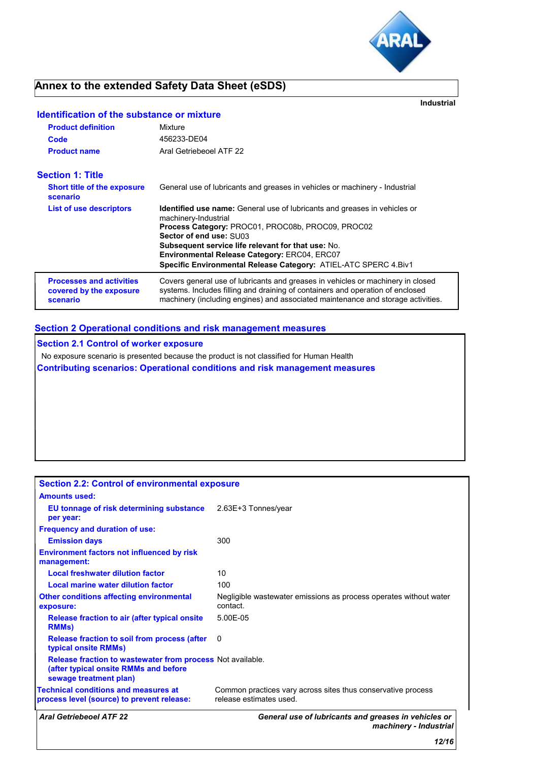

# **Annex to the extended Safety Data Sheet (eSDS)**

**Industrial**

### **Identification of the substance or mixture**

| <b>Product definition</b>                                              | Mixture                                                                                                                                                                                                                                                                                                                                                                         |
|------------------------------------------------------------------------|---------------------------------------------------------------------------------------------------------------------------------------------------------------------------------------------------------------------------------------------------------------------------------------------------------------------------------------------------------------------------------|
| Code                                                                   | 456233-DE04                                                                                                                                                                                                                                                                                                                                                                     |
| <b>Product name</b>                                                    | Aral Getriebeoel ATF 22                                                                                                                                                                                                                                                                                                                                                         |
| <b>Section 1: Title</b>                                                |                                                                                                                                                                                                                                                                                                                                                                                 |
| <b>Short title of the exposure</b><br>scenario                         | General use of lubricants and greases in vehicles or machinery - Industrial                                                                                                                                                                                                                                                                                                     |
| <b>List of use descriptors</b>                                         | <b>Identified use name:</b> General use of lubricants and greases in vehicles or<br>machinery-Industrial<br>Process Category: PROC01, PROC08b, PROC09, PROC02<br>Sector of end use: SU03<br><b>Subsequent service life relevant for that use: No.</b><br><b>Environmental Release Category: ERC04, ERC07</b><br>Specific Environmental Release Category: ATIEL-ATC SPERC 4.Biv1 |
| <b>Processes and activities</b><br>covered by the exposure<br>scenario | Covers general use of lubricants and greases in vehicles or machinery in closed<br>systems. Includes filling and draining of containers and operation of enclosed<br>machinery (including engines) and associated maintenance and storage activities.                                                                                                                           |

### **Section 2 Operational conditions and risk management measures**

**Section 2.1 Control of worker exposure** No exposure scenario is presented because the product is not classified for Human Health **Contributing scenarios: Operational conditions and risk management measures**

| <b>Aral Getriebeoel ATF 22</b>                                                                                                       | General use of lubricants and greases in vehicles or<br>machinery - Industrial          |
|--------------------------------------------------------------------------------------------------------------------------------------|-----------------------------------------------------------------------------------------|
| <b>Technical conditions and measures at</b><br>process level (source) to prevent release:                                            | Common practices vary across sites thus conservative process<br>release estimates used. |
| <b>Release fraction to wastewater from process Not available.</b><br>(after typical onsite RMMs and before<br>sewage treatment plan) |                                                                                         |
| <b>Release fraction to soil from process (after</b><br>typical onsite RMMs)                                                          | 0                                                                                       |
| Release fraction to air (after typical onsite)<br><b>RMMs</b>                                                                        | 5.00E-05                                                                                |
| <b>Other conditions affecting environmental</b><br>exposure:                                                                         | Negligible wastewater emissions as process operates without water<br>contact.           |
| <b>Local marine water dilution factor</b>                                                                                            | 100                                                                                     |
| <b>Local freshwater dilution factor</b>                                                                                              | 10                                                                                      |
| <b>Environment factors not influenced by risk</b><br>management:                                                                     |                                                                                         |
| <b>Emission days</b>                                                                                                                 | 300                                                                                     |
| <b>Frequency and duration of use:</b>                                                                                                |                                                                                         |
| EU tonnage of risk determining substance 2.63E+3 Tonnes/year<br>per year:                                                            |                                                                                         |
| <b>Amounts used:</b>                                                                                                                 |                                                                                         |
| <b>Section 2.2: Control of environmental exposure</b>                                                                                |                                                                                         |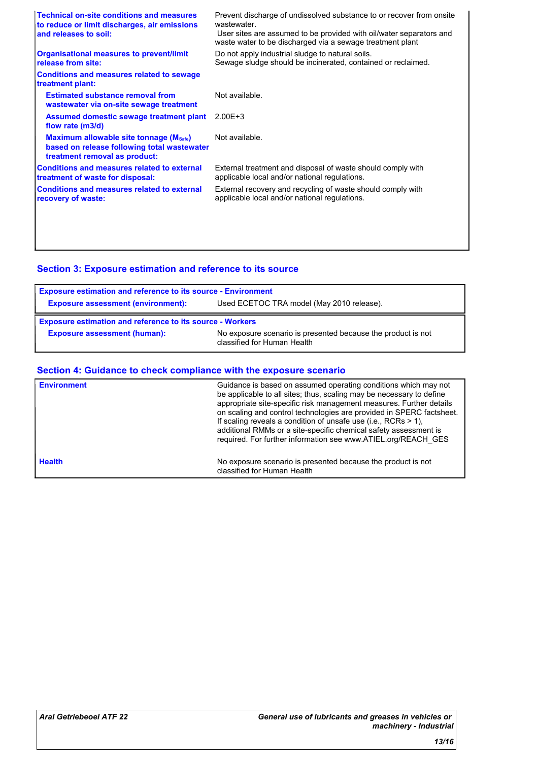| <b>Technical on-site conditions and measures</b><br>to reduce or limit discharges, air emissions<br>and releases to soil:     | Prevent discharge of undissolved substance to or recover from onsite<br>wastewater<br>User sites are assumed to be provided with oil/water separators and<br>waste water to be discharged via a sewage treatment plant |
|-------------------------------------------------------------------------------------------------------------------------------|------------------------------------------------------------------------------------------------------------------------------------------------------------------------------------------------------------------------|
| <b>Organisational measures to prevent/limit</b><br>release from site:                                                         | Do not apply industrial sludge to natural soils.<br>Sewage sludge should be incinerated, contained or reclaimed.                                                                                                       |
| <b>Conditions and measures related to sewage</b><br>treatment plant:                                                          |                                                                                                                                                                                                                        |
| <b>Estimated substance removal from</b><br>wastewater via on-site sewage treatment                                            | Not available.                                                                                                                                                                                                         |
| Assumed domestic sewage treatment plant<br>flow rate (m3/d)                                                                   | $2.00E + 3$                                                                                                                                                                                                            |
| <b>Maximum allowable site tonnage (Msafe)</b><br>based on release following total wastewater<br>treatment removal as product: | Not available.                                                                                                                                                                                                         |
| <b>Conditions and measures related to external</b><br>treatment of waste for disposal:                                        | External treatment and disposal of waste should comply with<br>applicable local and/or national regulations.                                                                                                           |
| <b>Conditions and measures related to external</b><br>recovery of waste:                                                      | External recovery and recycling of waste should comply with<br>applicable local and/or national regulations.                                                                                                           |
|                                                                                                                               |                                                                                                                                                                                                                        |
|                                                                                                                               |                                                                                                                                                                                                                        |

## **Section 3: Exposure estimation and reference to its source**

| <b>Exposure estimation and reference to its source - Environment</b> |                                                                                             |  |
|----------------------------------------------------------------------|---------------------------------------------------------------------------------------------|--|
| <b>Exposure assessment (environment):</b>                            | Used ECETOC TRA model (May 2010 release).                                                   |  |
| <b>Exposure estimation and reference to its source - Workers</b>     |                                                                                             |  |
| <b>Exposure assessment (human):</b>                                  | No exposure scenario is presented because the product is not<br>classified for Human Health |  |

### **Section 4: Guidance to check compliance with the exposure scenario**

| <b>Environment</b> | Guidance is based on assumed operating conditions which may not<br>be applicable to all sites; thus, scaling may be necessary to define<br>appropriate site-specific risk management measures. Further details<br>on scaling and control technologies are provided in SPERC factsheet.<br>If scaling reveals a condition of unsafe use (i.e., RCRs $> 1$ ),<br>additional RMMs or a site-specific chemical safety assessment is<br>required. For further information see www.ATIEL.org/REACH_GES |
|--------------------|--------------------------------------------------------------------------------------------------------------------------------------------------------------------------------------------------------------------------------------------------------------------------------------------------------------------------------------------------------------------------------------------------------------------------------------------------------------------------------------------------|
| <b>Health</b>      | No exposure scenario is presented because the product is not<br>classified for Human Health                                                                                                                                                                                                                                                                                                                                                                                                      |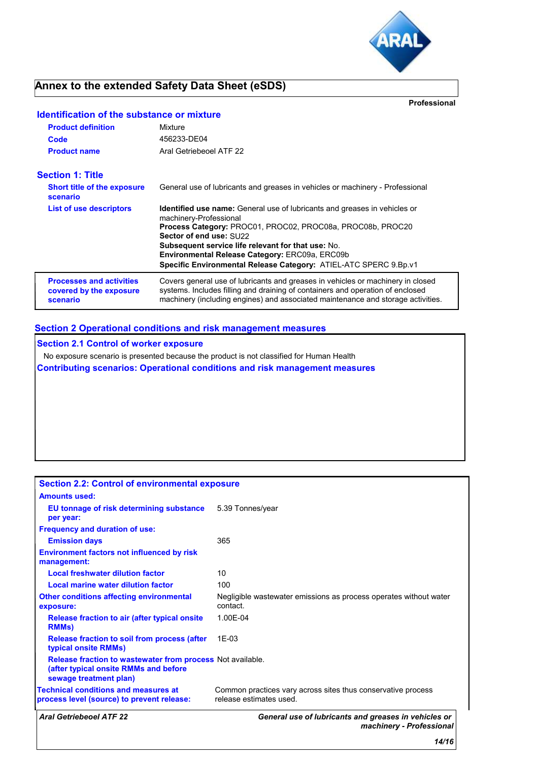

# **Annex to the extended Safety Data Sheet (eSDS)**

**Professional**

| <b>Identification of the substance or mixture</b>                      |                                                                                                                                                                                                                                                       |
|------------------------------------------------------------------------|-------------------------------------------------------------------------------------------------------------------------------------------------------------------------------------------------------------------------------------------------------|
| <b>Product definition</b>                                              | Mixture                                                                                                                                                                                                                                               |
| Code                                                                   | 456233-DE04                                                                                                                                                                                                                                           |
| <b>Product name</b>                                                    | Aral Getriebeoel ATF 22                                                                                                                                                                                                                               |
| <b>Section 1: Title</b>                                                |                                                                                                                                                                                                                                                       |
| <b>Short title of the exposure</b><br>scenario                         | General use of lubricants and greases in vehicles or machinery - Professional                                                                                                                                                                         |
| <b>List of use descriptors</b>                                         | <b>Identified use name:</b> General use of lubricants and greases in vehicles or<br>machinery-Professional                                                                                                                                            |
|                                                                        | Process Category: PROC01, PROC02, PROC08a, PROC08b, PROC20<br>Sector of end use: SU22                                                                                                                                                                 |
|                                                                        | <b>Subsequent service life relevant for that use: No.</b>                                                                                                                                                                                             |
|                                                                        | <b>Environmental Release Category: ERC09a, ERC09b</b><br>Specific Environmental Release Category: ATIEL-ATC SPERC 9.Bp.v1                                                                                                                             |
| <b>Processes and activities</b><br>covered by the exposure<br>scenario | Covers general use of lubricants and greases in vehicles or machinery in closed<br>systems. Includes filling and draining of containers and operation of enclosed<br>machinery (including engines) and associated maintenance and storage activities. |

### **Section 2 Operational conditions and risk management measures**

**Section 2.1 Control of worker exposure**

No exposure scenario is presented because the product is not classified for Human Health

**Contributing scenarios: Operational conditions and risk management measures**

| <b>Section 2.2: Control of environmental exposure</b>                                                                                |                                                                                         |
|--------------------------------------------------------------------------------------------------------------------------------------|-----------------------------------------------------------------------------------------|
| <b>Amounts used:</b>                                                                                                                 |                                                                                         |
| EU tonnage of risk determining substance<br>per year:                                                                                | 5.39 Tonnes/year                                                                        |
| <b>Frequency and duration of use:</b>                                                                                                |                                                                                         |
| <b>Emission days</b>                                                                                                                 | 365                                                                                     |
| <b>Environment factors not influenced by risk</b><br>management:                                                                     |                                                                                         |
| <b>Local freshwater dilution factor</b>                                                                                              | 10                                                                                      |
| Local marine water dilution factor                                                                                                   | 100                                                                                     |
| <b>Other conditions affecting environmental</b><br>exposure:                                                                         | Negligible wastewater emissions as process operates without water<br>contact.           |
| Release fraction to air (after typical onsite)<br><b>RMMs</b>                                                                        | 1.00E-04                                                                                |
| Release fraction to soil from process (after<br>typical onsite RMMs)                                                                 | $1F-0.3$                                                                                |
| <b>Release fraction to wastewater from process Not available.</b><br>(after typical onsite RMMs and before<br>sewage treatment plan) |                                                                                         |
| <b>Technical conditions and measures at</b><br>process level (source) to prevent release:                                            | Common practices vary across sites thus conservative process<br>release estimates used. |
| <b>Aral Getriebeoel ATF 22</b>                                                                                                       | General use of lubricants and greases in vehicles or<br>machinery - Professional        |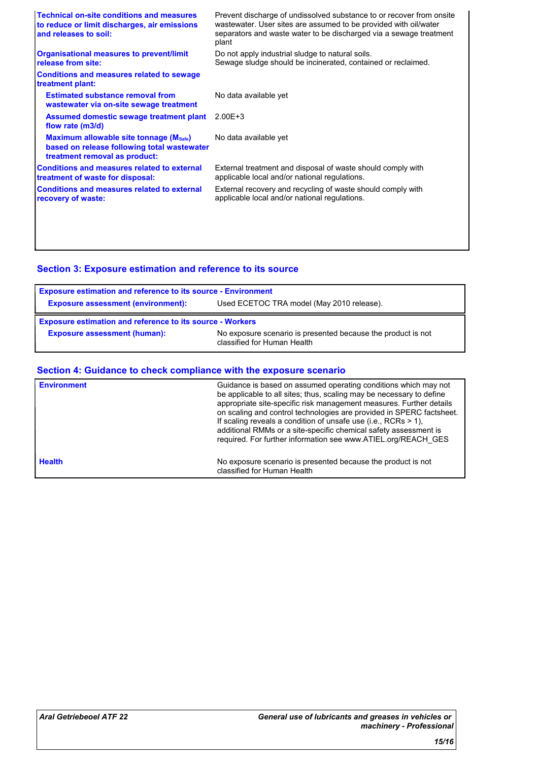| <b>Technical on-site conditions and measures</b><br>to reduce or limit discharges, air emissions<br>and releases to soil: | Prevent discharge of undissolved substance to or recover from onsite<br>wastewater. User sites are assumed to be provided with oil/water<br>separators and waste water to be discharged via a sewage treatment<br>plant |
|---------------------------------------------------------------------------------------------------------------------------|-------------------------------------------------------------------------------------------------------------------------------------------------------------------------------------------------------------------------|
| <b>Organisational measures to prevent/limit</b><br>release from site:                                                     | Do not apply industrial sludge to natural soils.<br>Sewage sludge should be incinerated, contained or reclaimed.                                                                                                        |
| <b>Conditions and measures related to sewage</b><br>treatment plant:                                                      |                                                                                                                                                                                                                         |
| <b>Estimated substance removal from</b><br>wastewater via on-site sewage treatment                                        | No data available yet                                                                                                                                                                                                   |
| Assumed domestic sewage treatment plant<br>flow rate (m3/d)                                                               | $2.00E + 3$                                                                                                                                                                                                             |
| Maximum allowable site tonnage (Msafe)<br>based on release following total wastewater<br>treatment removal as product:    | No data available yet                                                                                                                                                                                                   |
| <b>Conditions and measures related to external</b><br>treatment of waste for disposal:                                    | External treatment and disposal of waste should comply with<br>applicable local and/or national regulations.                                                                                                            |
| <b>Conditions and measures related to external</b><br>recovery of waste:                                                  | External recovery and recycling of waste should comply with<br>applicable local and/or national regulations.                                                                                                            |
|                                                                                                                           |                                                                                                                                                                                                                         |
|                                                                                                                           |                                                                                                                                                                                                                         |

## **Section 3: Exposure estimation and reference to its source**

| <b>Exposure estimation and reference to its source - Environment</b> |                                                                                             |  |
|----------------------------------------------------------------------|---------------------------------------------------------------------------------------------|--|
| <b>Exposure assessment (environment):</b>                            | Used ECETOC TRA model (May 2010 release).                                                   |  |
| <b>Exposure estimation and reference to its source - Workers</b>     |                                                                                             |  |
| <b>Exposure assessment (human):</b>                                  | No exposure scenario is presented because the product is not<br>classified for Human Health |  |

### **Section 4: Guidance to check compliance with the exposure scenario**

| <b>Environment</b> | Guidance is based on assumed operating conditions which may not<br>be applicable to all sites; thus, scaling may be necessary to define<br>appropriate site-specific risk management measures. Further details<br>on scaling and control technologies are provided in SPERC factsheet.<br>If scaling reveals a condition of unsafe use (i.e., RCRs $> 1$ ),<br>additional RMMs or a site-specific chemical safety assessment is<br>required. For further information see www.ATIEL.org/REACH_GES |
|--------------------|--------------------------------------------------------------------------------------------------------------------------------------------------------------------------------------------------------------------------------------------------------------------------------------------------------------------------------------------------------------------------------------------------------------------------------------------------------------------------------------------------|
| <b>Health</b>      | No exposure scenario is presented because the product is not<br>classified for Human Health                                                                                                                                                                                                                                                                                                                                                                                                      |